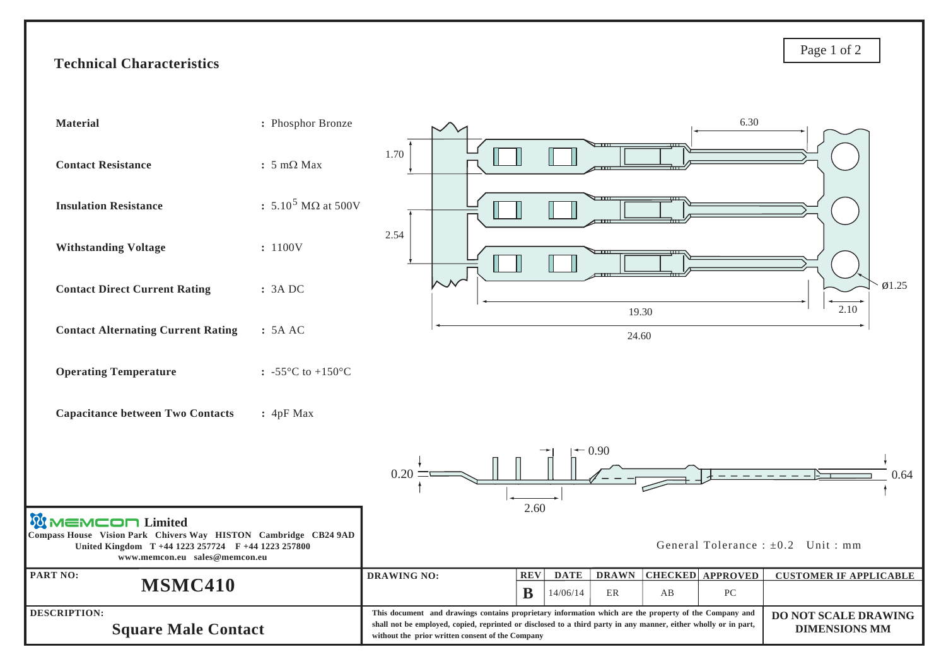## **Technical Characteristics**



Page 1 of 2